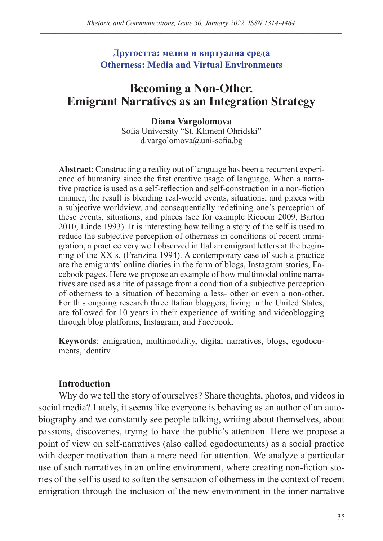## **Другостта: медии и виртуална среда Otherness: Media and Virtual Environments**

# **Becoming a Non-Other. Emigrant Narratives as an Integration Strategy**

#### **Diana Vargolomova**

Sofia University "St. Kliment Ohridski" d.vargolomova@uni-sofia.bg

**Abstract**: Constructing a reality out of language has been a recurrent experience of humanity since the first creative usage of language. When a narrative practice is used as a self-reflection and self-construction in a non-fiction manner, the result is blending real-world events, situations, and places with a subjective worldview, and consequentially redefining one's perception of these events, situations, and places (see for example Ricoeur 2009, Barton 2010, Linde 1993). It is interesting how telling a story of the self is used to reduce the subjective perception of otherness in conditions of recent immigration, a practice very well observed in Italian emigrant letters at the beginning of the XX s. (Franzina 1994). A contemporary case of such a practice are the emigrants' online diaries in the form of blogs, Instagram stories, Facebook pages. Here we propose an example of how multimodal online narratives are used as a rite of passage from a condition of a subjective perception of otherness to a situation of becoming a less- other or even a non-other. For this ongoing research three Italian bloggers, living in the United States, are followed for 10 years in their experience of writing and videoblogging through blog platforms, Instagram, and Facebook.

**Keywords**: emigration, multimodality, digital narratives, blogs, egodocuments, identity.

## **Introduction**

Why do we tell the story of ourselves? Share thoughts, photos, and videos in social media? Lately, it seems like everyone is behaving as an author of an autobiography and we constantly see people talking, writing about themselves, about passions, discoveries, trying to have the public's attention. Here we propose a point of view on self-narratives (also called egodocuments) as a social practice with deeper motivation than a mere need for attention. We analyze a particular use of such narratives in an online environment, where creating non-fiction stories of the self is used to soften the sensation of otherness in the context of recent emigration through the inclusion of the new environment in the inner narrative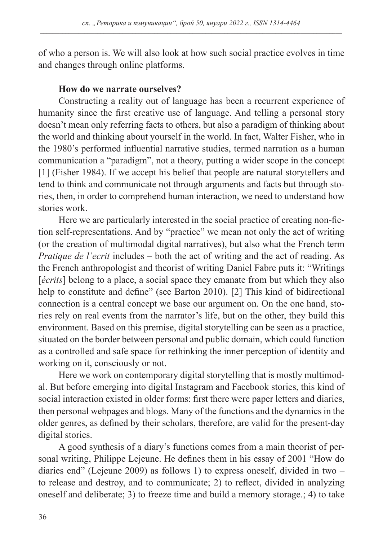of who a person is. We will also look at how such social practice evolves in time and changes through online platforms.

## **How do we narrate ourselves?**

Constructing a reality out of language has been a recurrent experience of humanity since the first creative use of language. And telling a personal story doesn't mean only referring facts to others, but also a paradigm of thinking about the world and thinking about yourself in the world. In fact, Walter Fisher, who in the 1980's performed influential narrative studies, termed narration as a human communication a "paradigm", not a theory, putting a wider scope in the concept [1] (Fisher 1984). If we accept his belief that people are natural storytellers and tend to think and communicate not through arguments and facts but through stories, then, in order to comprehend human interaction, we need to understand how stories work.

Here we are particularly interested in the social practice of creating non-fiction self-representations. And by "practice" we mean not only the act of writing (or the creation of multimodal digital narratives), but also what the French term *Pratique de l'ecrit* includes – both the act of writing and the act of reading. As the French anthropologist and theorist of writing Daniel Fabre puts it: "Writings [*écrits*] belong to a place, a social space they emanate from but which they also help to constitute and define" (see Barton 2010). [2] This kind of bidirectional connection is a central concept we base our argument on. On the one hand, stories rely on real events from the narrator's life, but on the other, they build this environment. Based on this premise, digital storytelling can be seen as a practice, situated on the border between personal and public domain, which could function as a controlled and safe space for rethinking the inner perception of identity and working on it, consciously or not.

Here we work on contemporary digital storytelling that is mostly multimodal. But before emerging into digital Instagram and Facebook stories, this kind of social interaction existed in older forms: first there were paper letters and diaries, then personal webpages and blogs. Many of the functions and the dynamics in the older genres, as defined by their scholars, therefore, are valid for the present-day digital stories.

A good synthesis of a diary's functions comes from a main theorist of personal writing, Philippe Lejeune. He defines them in his essay of 2001 "How do diaries end" (Lejeune 2009) as follows 1) to express oneself, divided in two – to release and destroy, and to communicate; 2) to reflect, divided in analyzing oneself and deliberate; 3) to freeze time and build a memory storage.; 4) to take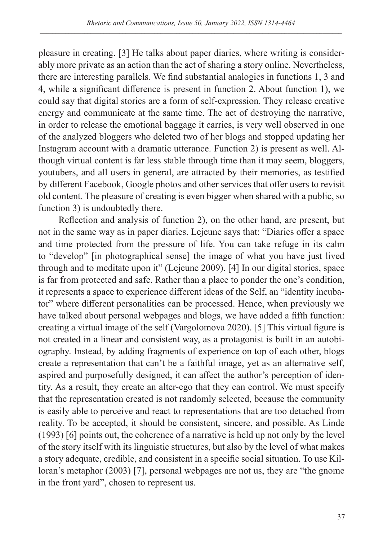pleasure in creating. [3] He talks about paper diaries, where writing is considerably more private as an action than the act of sharing a story online. Nevertheless, there are interesting parallels. We find substantial analogies in functions 1, 3 and 4, while a significant difference is present in function 2. About function 1), we could say that digital stories are a form of self-expression. They release creative energy and communicate at the same time. The act of destroying the narrative, in order to release the emotional baggage it carries, is very well observed in one of the analyzed bloggers who deleted two of her blogs and stopped updating her Instagram account with a dramatic utterance. Function 2) is present as well. Although virtual content is far less stable through time than it may seem, bloggers, youtubers, and all users in general, are attracted by their memories, as testified by different Facebook, Google photos and other services that offer users to revisit old content. The pleasure of creating is even bigger when shared with a public, so function 3) is undoubtedly there.

Reflection and analysis of function 2), on the other hand, are present, but not in the same way as in paper diaries. Lejeune says that: "Diaries offer a space and time protected from the pressure of life. You can take refuge in its calm to "develop" [in photographical sense] the image of what you have just lived through and to meditate upon it" (Lejeune 2009). [4] In our digital stories, space is far from protected and safe. Rather than a place to ponder the one's condition, it represents a space to experience different ideas of the Self, an "identity incubator" where different personalities can be processed. Hence, when previously we have talked about personal webpages and blogs, we have added a fifth function: creating a virtual image of the self (Vargolomova 2020). [5] This virtual figure is not created in a linear and consistent way, as a protagonist is built in an autobiography. Instead, by adding fragments of experience on top of each other, blogs create a representation that can't be a faithful image, yet as an alternative self, aspired and purposefully designed, it can affect the author's perception of identity. As a result, they create an alter-ego that they can control. We must specify that the representation created is not randomly selected, because the community is easily able to perceive and react to representations that are too detached from reality. To be accepted, it should be consistent, sincere, and possible. As Linde (1993) [6] points out, the coherence of a narrative is held up not only by the level of the story itself with its linguistic structures, but also by the level of what makes a story adequate, credible, and consistent in a specific social situation. To use Killoran's metaphor (2003) [7], personal webpages are not us, they are "the gnome in the front yard", chosen to represent us.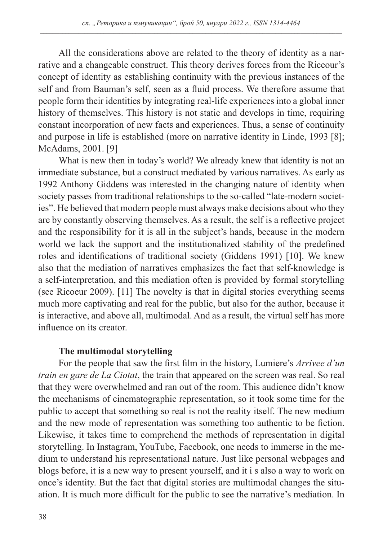All the considerations above are related to the theory of identity as a narrative and a changeable construct. This theory derives forces from the Riceour's concept of identity as establishing continuity with the previous instances of the self and from Bauman's self, seen as a fluid process. We therefore assume that people form their identities by integrating real-life experiences into a global inner history of themselves. This history is not static and develops in time, requiring constant incorporation of new facts and experiences. Thus, a sense of continuity and purpose in life is established (more on narrative identity in Linde, 1993 [8]; McAdams, 2001. [9]

What is new then in today's world? We already knew that identity is not an immediate substance, but a construct mediated by various narratives. As early as 1992 Anthony Giddens was interested in the changing nature of identity when society passes from traditional relationships to the so-called "late-modern societies". He believed that modern people must always make decisions about who they are by constantly observing themselves. As a result, the self is a reflective project and the responsibility for it is all in the subject's hands, because in the modern world we lack the support and the institutionalized stability of the predefined roles and identifications of traditional society (Giddens 1991) [10]. We knew also that the mediation of narratives emphasizes the fact that self-knowledge is a self-interpretation, and this mediation often is provided by formal storytelling (see Ricoeur 2009). [11] The novelty is that in digital stories everything seems much more captivating and real for the public, but also for the author, because it is interactive, and above all, multimodal. And as a result, the virtual self has more influence on its creator.

## **The multimodal storytelling**

For the people that saw the first film in the history, Lumiere's *Arrivee d'un train en gare de La Ciotat*, the train that appeared on the screen was real. So real that they were overwhelmed and ran out of the room. This audience didn't know the mechanisms of cinematographic representation, so it took some time for the public to accept that something so real is not the reality itself. The new medium and the new mode of representation was something too authentic to be fiction. Likewise, it takes time to comprehend the methods of representation in digital storytelling. In Instagram, YouTube, Facebook, one needs to immerse in the medium to understand his representational nature. Just like personal webpages and blogs before, it is a new way to present yourself, and it i s also a way to work on once's identity. But the fact that digital stories are multimodal changes the situation. It is much more difficult for the public to see the narrative's mediation. In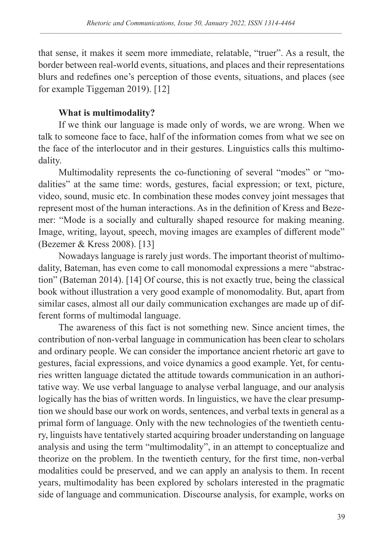that sense, it makes it seem more immediate, relatable, "truer". As a result, the border between real-world events, situations, and places and their representations blurs and redefines one's perception of those events, situations, and places (see for example Tiggeman 2019). [12]

# **What is multimodality?**

If we think our language is made only of words, we are wrong. When we talk to someone face to face, half of the information comes from what we see on the face of the interlocutor and in their gestures. Linguistics calls this multimodality.

Multimodality represents the co-functioning of several "modes" or "modalities" at the same time: words, gestures, facial expression; or text, picture, video, sound, music etc. In combination these modes convey joint messages that represent most of the human interactions. As in the definition of Kress and Bezemer: "Mode is a socially and culturally shaped resource for making meaning. Image, writing, layout, speech, moving images are examples of different mode" (Bezemer & Kress 2008). [13]

Nowadays language is rarely just words. The important theorist of multimodality, Bateman, has even come to call monomodal expressions a mere "abstraction" (Bateman 2014). [14] Of course, this is not exactly true, being the classical book without illustration a very good example of monomodality. But, apart from similar cases, almost all our daily communication exchanges are made up of different forms of multimodal language.

The awareness of this fact is not something new. Since ancient times, the contribution of non-verbal language in communication has been clear to scholars and ordinary people. We can consider the importance ancient rhetoric art gave to gestures, facial expressions, and voice dynamics a good example. Yet, for centuries written language dictated the attitude towards communication in an authoritative way. We use verbal language to analyse verbal language, and our analysis logically has the bias of written words. In linguistics, we have the clear presumption we should base our work on words, sentences, and verbal texts in general as a primal form of language. Only with the new technologies of the twentieth century, linguists have tentatively started acquiring broader understanding on language analysis and using the term "multimodality", in an attempt to conceptualize and theorize on the problem. In the twentieth century, for the first time, non-verbal modalities could be preserved, and we can apply an analysis to them. In recent years, multimodality has been explored by scholars interested in the pragmatic side of language and communication. Discourse analysis, for example, works on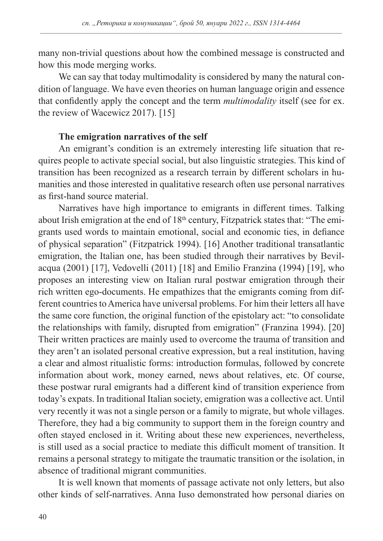many non-trivial questions about how the combined message is constructed and how this mode merging works.

We can say that today multimodality is considered by many the natural condition of language. We have even theories on human language origin and essence that confidently apply the concept and the term *multimodality* itself (see for ex. the review of Wacewicz 2017). [15]

#### **The emigration narratives of the self**

An emigrant's condition is an extremely interesting life situation that requires people to activate special social, but also linguistic strategies. This kind of transition has been recognized as a research terrain by different scholars in humanities and those interested in qualitative research often use personal narratives as first-hand source material.

Narratives have high importance to emigrants in different times. Talking about Irish emigration at the end of  $18<sup>th</sup>$  century, Fitzpatrick states that: "The emigrants used words to maintain emotional, social and economic ties, in defiance of physical separation" (Fitzpatrick 1994). [16] Another traditional transatlantic emigration, the Italian one, has been studied through their narratives by Bevilacqua (2001) [17], Vedovelli (2011) [18] and Emilio Franzina (1994) [19], who proposes an interesting view on Italian rural postwar emigration through their rich written ego-documents. He empathizes that the emigrants coming from different countries to America have universal problems. For him their letters all have the same core function, the original function of the epistolary act: "to consolidate the relationships with family, disrupted from emigration" (Franzina 1994). [20] Their written practices are mainly used to overcome the trauma of transition and they aren't an isolated personal creative expression, but a real institution, having a clear and almost ritualistic forms: introduction formulas, followed by concrete information about work, money earned, news about relatives, etc. Of course, these postwar rural emigrants had a different kind of transition experience from today's expats. In traditional Italian society, emigration was a collective act. Until very recently it was not a single person or a family to migrate, but whole villages. Therefore, they had a big community to support them in the foreign country and often stayed enclosed in it. Writing about these new experiences, nevertheless, is still used as a social practice to mediate this difficult moment of transition. It remains a personal strategy to mitigate the traumatic transition or the isolation, in absence of traditional migrant communities.

It is well known that moments of passage activate not only letters, but also other kinds of self-narratives. Anna Iuso demonstrated how personal diaries on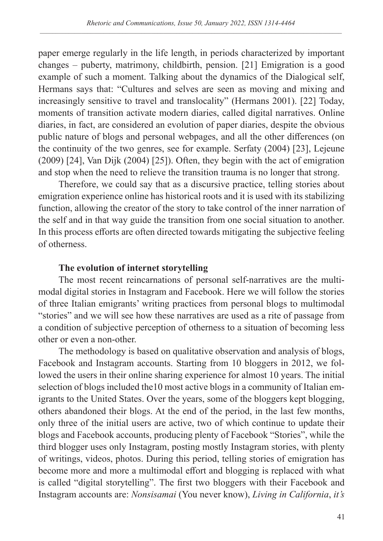paper emerge regularly in the life length, in periods characterized by important changes – puberty, matrimony, childbirth, pension. [21] Emigration is a good example of such a moment. Talking about the dynamics of the Dialogical self, Hermans says that: "Cultures and selves are seen as moving and mixing and increasingly sensitive to travel and translocality" (Hermans 2001). [22] Today, moments of transition activate modern diaries, called digital narratives. Online diaries, in fact, are considered an evolution of paper diaries, despite the obvious public nature of blogs and personal webpages, and all the other differences (on the continuity of the two genres, see for example. Serfaty (2004) [23], Lejeune (2009) [24], Van Dijk (2004) [25]). Often, they begin with the act of emigration and stop when the need to relieve the transition trauma is no longer that strong.

Therefore, we could say that as a discursive practice, telling stories about emigration experience online has historical roots and it is used with its stabilizing function, allowing the creator of the story to take control of the inner narration of the self and in that way guide the transition from one social situation to another. In this process efforts are often directed towards mitigating the subjective feeling of otherness.

## **The evolution of internet storytelling**

The most recent reincarnations of personal self-narratives are the multimodal digital stories in Instagram and Facebook. Here we will follow the stories of three Italian emigrants' writing practices from personal blogs to multimodal "stories" and we will see how these narratives are used as a rite of passage from a condition of subjective perception of otherness to a situation of becoming less other or even a non-other.

The methodology is based on qualitative observation and analysis of blogs, Facebook and Instagram accounts. Starting from 10 bloggers in 2012, we followed the users in their online sharing experience for almost 10 years. The initial selection of blogs included the10 most active blogs in a community of Italian emigrants to the United States. Over the years, some of the bloggers kept blogging, others abandoned their blogs. At the end of the period, in the last few months, only three of the initial users are active, two of which continue to update their blogs and Facebook accounts, producing plenty of Facebook "Stories", while the third blogger uses only Instagram, posting mostly Instagram stories, with plenty of writings, videos, photos. During this period, telling stories of emigration has become more and more a multimodal effort and blogging is replaced with what is called "digital storytelling". The first two bloggers with their Facebook and Instagram accounts are: *Nonsisamai* (You never know), *Living in California*, *it's*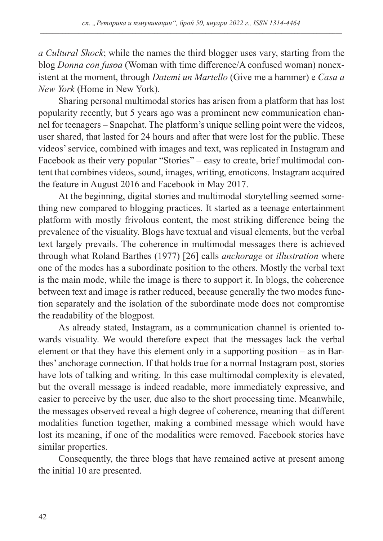*a Cultural Shock*; while the names the third blogger uses vary, starting from the blog *Donna con fusoa* (Woman with time difference/A confused woman) nonexistent at the moment, through *Datemi un Martello* (Give me a hammer) e *Casa a New York* (Home in New York).

Sharing personal multimodal stories has arisen from a platform that has lost popularity recently, but 5 years ago was a prominent new communication channel for teenagers – Snapchat. The platform's unique selling point were the videos, user shared, that lasted for 24 hours and after that were lost for the public. These videos' service, combined with images and text, was replicated in Instagram and Facebook as their very popular "Stories" – easy to create, brief multimodal content that combines videos, sound, images, writing, emoticons. Instagram acquired the feature in August 2016 and Facebook in May 2017.

At the beginning, digital stories and multimodal storytelling seemed something new compared to blogging practices. It started as a teenage entertainment platform with mostly frivolous content, the most striking difference being the prevalence of the visuality. Blogs have textual and visual elements, but the verbal text largely prevails. The coherence in multimodal messages there is achieved through what Roland Barthes (1977) [26] calls *anchorage* or *illustration* where one of the modes has a subordinate position to the others. Mostly the verbal text is the main mode, while the image is there to support it. In blogs, the coherence between text and image is rather reduced, because generally the two modes function separately and the isolation of the subordinate mode does not compromise the readability of the blogpost.

As already stated, Instagram, as a communication channel is oriented towards visuality. We would therefore expect that the messages lack the verbal element or that they have this element only in a supporting position – as in Barthes' anchorage connection. If that holds true for a normal Instagram post, stories have lots of talking and writing. In this case multimodal complexity is elevated, but the overall message is indeed readable, more immediately expressive, and easier to perceive by the user, due also to the short processing time. Meanwhile, the messages observed reveal a high degree of coherence, meaning that different modalities function together, making a combined message which would have lost its meaning, if one of the modalities were removed. Facebook stories have similar properties.

Consequently, the three blogs that have remained active at present among the initial 10 are presented.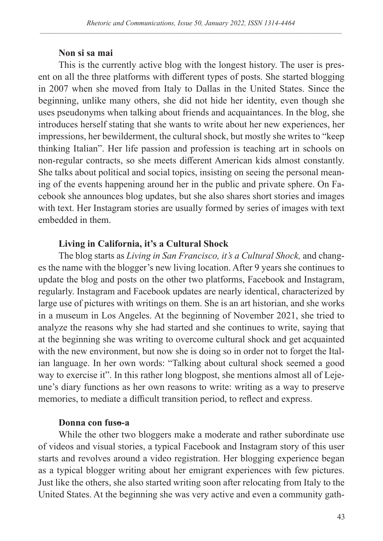#### **Non si sa mai**

This is the currently active blog with the longest history. The user is present on all the three platforms with different types of posts. She started blogging in 2007 when she moved from Italy to Dallas in the United States. Since the beginning, unlike many others, she did not hide her identity, even though she uses pseudonyms when talking about friends and acquaintances. In the blog, she introduces herself stating that she wants to write about her new experiences, her impressions, her bewilderment, the cultural shock, but mostly she writes to "keep thinking Italian". Her life passion and profession is teaching art in schools on non-regular contracts, so she meets different American kids almost constantly. She talks about political and social topics, insisting on seeing the personal meaning of the events happening around her in the public and private sphere. On Facebook she announces blog updates, but she also shares short stories and images with text. Her Instagram stories are usually formed by series of images with text embedded in them.

## **Living in California, it's a Cultural Shock**

The blog starts as *Living in San Francisco, it's a Cultural Shock,* and changes the name with the blogger's new living location. After 9 years she continues to update the blog and posts on the other two platforms, Facebook and Instagram, regularly. Instagram and Facebook updates are nearly identical, characterized by large use of pictures with writings on them. She is an art historian, and she works in a museum in Los Angeles. At the beginning of November 2021, she tried to analyze the reasons why she had started and she continues to write, saying that at the beginning she was writing to overcome cultural shock and get acquainted with the new environment, but now she is doing so in order not to forget the Italian language. In her own words: "Talking about cultural shock seemed a good way to exercise it". In this rather long blogpost, she mentions almost all of Lejeune's diary functions as her own reasons to write: writing as a way to preserve memories, to mediate a difficult transition period, to reflect and express.

#### **Donna con fuso-a**

While the other two bloggers make a moderate and rather subordinate use of videos and visual stories, a typical Facebook and Instagram story of this user starts and revolves around a video registration. Her blogging experience began as a typical blogger writing about her emigrant experiences with few pictures. Just like the others, she also started writing soon after relocating from Italy to the United States. At the beginning she was very active and even a community gath-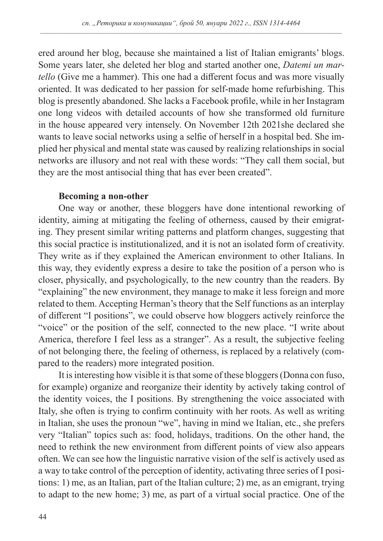ered around her blog, because she maintained a list of Italian emigrants' blogs. Some years later, she deleted her blog and started another one, *Datemi un martello* (Give me a hammer). This one had a different focus and was more visually oriented. It was dedicated to her passion for self-made home refurbishing. This blog is presently abandoned. She lacks a Facebook profile, while in her Instagram one long videos with detailed accounts of how she transformed old furniture in the house appeared very intensely. On November 12th 2021she declared she wants to leave social networks using a selfie of herself in a hospital bed. She implied her physical and mental state was caused by realizing relationships in social networks are illusory and not real with these words: "They call them social, but they are the most antisocial thing that has ever been created".

#### **Becoming a non-other**

One way or another, these bloggers have done intentional reworking of identity, aiming at mitigating the feeling of otherness, caused by their emigrating. They present similar writing patterns and platform changes, suggesting that this social practice is institutionalized, and it is not an isolated form of creativity. They write as if they explained the American environment to other Italians. In this way, they evidently express a desire to take the position of a person who is closer, physically, and psychologically, to the new country than the readers. By "explaining" the new environment, they manage to make it less foreign and more related to them. Accepting Herman's theory that the Self functions as an interplay of different "I positions", we could observe how bloggers actively reinforce the "voice" or the position of the self, connected to the new place. "I write about America, therefore I feel less as a stranger". As a result, the subjective feeling of not belonging there, the feeling of otherness, is replaced by a relatively (compared to the readers) more integrated position.

It is interesting how visible it is that some of these bloggers (Donna con fuso, for example) organize and reorganize their identity by actively taking control of the identity voices, the I positions. By strengthening the voice associated with Italy, she often is trying to confirm continuity with her roots. As well as writing in Italian, she uses the pronoun "we", having in mind we Italian, etc., she prefers very "Italian" topics such as: food, holidays, traditions. On the other hand, the need to rethink the new environment from different points of view also appears often. We can see how the linguistic narrative vision of the self is actively used as a way to take control of the perception of identity, activating three series of I positions: 1) me, as an Italian, part of the Italian culture; 2) me, as an emigrant, trying to adapt to the new home; 3) me, as part of a virtual social practice. One of the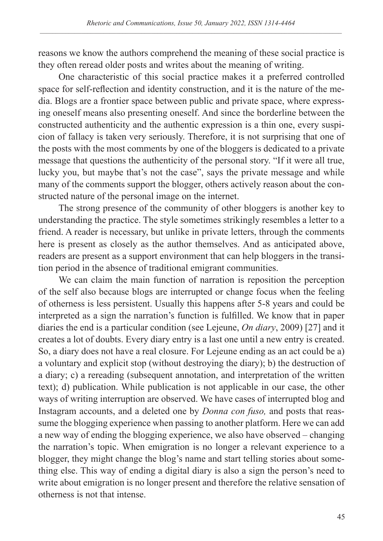reasons we know the authors comprehend the meaning of these social practice is they often reread older posts and writes about the meaning of writing.

One characteristic of this social practice makes it a preferred controlled space for self-reflection and identity construction, and it is the nature of the media. Blogs are a frontier space between public and private space, where expressing oneself means also presenting oneself. And since the borderline between the constructed authenticity and the authentic expression is a thin one, every suspicion of fallacy is taken very seriously. Therefore, it is not surprising that one of the posts with the most comments by one of the bloggers is dedicated to a private message that questions the authenticity of the personal story. "If it were all true, lucky you, but maybe that's not the case", says the private message and while many of the comments support the blogger, others actively reason about the constructed nature of the personal image on the internet.

The strong presence of the community of other bloggers is another key to understanding the practice. The style sometimes strikingly resembles a letter to a friend. A reader is necessary, but unlike in private letters, through the comments here is present as closely as the author themselves. And as anticipated above, readers are present as a support environment that can help bloggers in the transition period in the absence of traditional emigrant communities.

We can claim the main function of narration is reposition the perception of the self also because blogs are interrupted or change focus when the feeling of otherness is less persistent. Usually this happens after 5-8 years and could be interpreted as a sign the narration's function is fulfilled. We know that in paper diaries the end is a particular condition (see Lejeune, *On diary*, 2009) [27] and it creates a lot of doubts. Every diary entry is a last one until a new entry is created. So, a diary does not have a real closure. For Lejeune ending as an act could be a) a voluntary and explicit stop (without destroying the diary); b) the destruction of a diary; c) a rereading (subsequent annotation, and interpretation of the written text); d) publication. While publication is not applicable in our case, the other ways of writing interruption are observed. We have cases of interrupted blog and Instagram accounts, and a deleted one by *Donna con fuso,* and posts that reassume the blogging experience when passing to another platform. Here we can add a new way of ending the blogging experience, we also have observed – changing the narration's topic. When emigration is no longer a relevant experience to a blogger, they might change the blog's name and start telling stories about something else. This way of ending a digital diary is also a sign the person's need to write about emigration is no longer present and therefore the relative sensation of otherness is not that intense.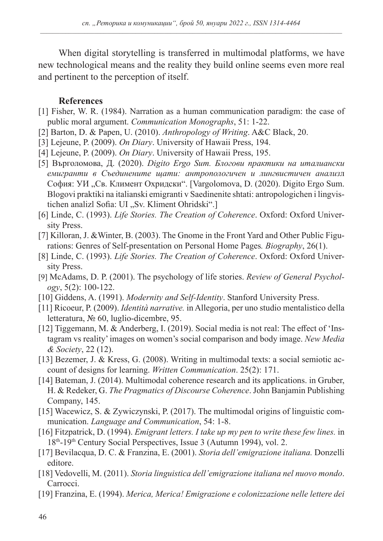When digital storytelling is transferred in multimodal platforms, we have new technological means and the reality they build online seems even more real and pertinent to the perception of itself.

### **References**

- [1] Fisher, W. R. (1984). Narration as a human communication paradigm: the case of public moral argument. *Communication Monographs*, 51: 1-22.
- [2] Barton, D. & Papen, U. (2010). *Anthropology of Writing*. A&C Black, 20.
- [3] Lejeune, P. (2009). *On Diary*. University of Hawaii Press, 194.
- [4] Lejeune, P. (2009). *On Diary*. University of Hawaii Press, 195.
- [5] Върголомова, Д. (2020). *Digito Ergo Sum. Блогови практики на италиански емигранти в Съединените щати: антропологичен и лингвистичен анализ*л София: УИ "Св. Климент Охридски". [Vargolomova, D. (2020). Digito Ergo Sum. Blogovi praktiki na italianski emigranti v Saedinenite shtati: antropologichen i lingvistichen analizl Sofia: UI "Sv. Kliment Ohridski".]
- [6] Linde, C. (1993). *Life Stories. The Creation of Coherence*. Oxford: Oxford University Press.
- [7] Killoran, J. &Winter, B. (2003). The Gnome in the Front Yard and Other Public Figurations: Genres of Self-presentation on Personal Home Pages*. Biography*, 26(1).
- [8] Linde, C. (1993). *Life Stories. The Creation of Coherence*. Oxford: Oxford University Press.
- [9] McAdams, D. P. (2001). The psychology of life stories. *Review of General Psychology*, 5(2): 100-122.
- [10] Giddens, A. (1991). *Modernity and Self-Identity*. Stanford University Press.
- [11] Ricoeur, P. (2009). *Identità narrative.* in Allegoria, per uno studio mentalistico della letteratura, № 60, luglio-dicembre, 95.
- [12] Tiggemann, M. & Anderberg, I. (2019). Social media is not real: The effect of 'Instagram vs reality' images on women's social comparison and body image. *New Media & Society*, 22 (12).
- [13] Bezemer, J. & Kress, G. (2008). Writing in multimodal texts: a social semiotic account of designs for learning. *Written Communication*. 25(2): 171.
- [14] Bateman, J. (2014). Multimodal coherence research and its applications. in Gruber, H. & Redeker, G. *The Pragmatics of Discourse Coherence*. John Banjamin Publishing Company, 145.
- [15] Wacewicz, S. & Zywiczynski, P. (2017). The multimodal origins of linguistic communication. *Language and Communication*, 54: 1-8.
- [16] Fitzpatrick, D. (1994). *Emigrant letters. I take up my pen to write these few lines.* in 18<sup>th</sup>-19<sup>th</sup> Century Social Perspectives, Issue 3 (Autumn 1994), vol. 2.
- [17] Bevilacqua, D. C. & Franzina, E. (2001). *Storia dell'emigrazione italiana.* Donzelli editore.
- [18] Vedovelli, M. (2011). *Storia linguistica dell'emigrazione italiana nel nuovo mondo*. Carrocci.
- [19] Franzina, E. (1994). *Merica, Merica! Emigrazione e colonizzazione nelle lettere dei*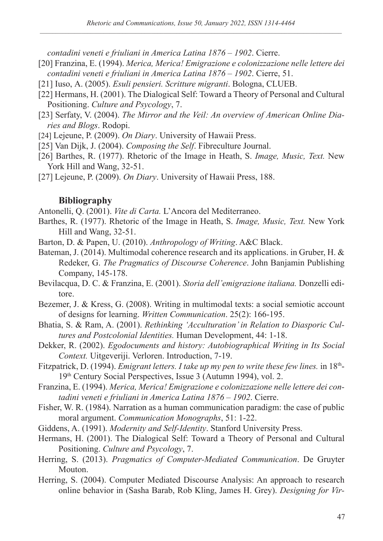*contadini veneti e friuliani in America Latina 1876 – 1902*. Cierre.

- [20] Franzina, E. (1994). *Merica, Merica! Emigrazione e colonizzazione nelle lettere dei contadini veneti e friuliani in America Latina 1876 – 1902*. Cierre, 51.
- [21] Iusо, А. (2005). *Esuli pensieri. Scritture migranti*. Bologna, CLUEB.
- [22] Hermans, H. (2001). The Dialogical Self: Toward a Theory of Personal and Cultural Positioning. *Culture and Psycology*, 7.
- [23] Serfaty, V. (2004). *The Mirror and the Veil: An overview of American Online Diaries and Blogs*. Rodopi.
- [24] Lejeune, P. (2009). *On Diary*. University of Hawaii Press.
- [25] Van Dijk, J. (2004). *Composing the Self*. Fibreculture Journal.
- [26] Barthes, R. (1977). Rhetoric of the Image in Heath, S. *Image, Music, Text.* New York Hill and Wang, 32-51.
- [27] Lejeune, P. (2009). *On Diary*. University of Hawaii Press, 188.

## **Bibliography**

Antonelli, Q. (2001). *Vite di Carta.* L'Ancora del Mediterraneo.

- Barthes, R. (1977). Rhetoric of the Image in Heath, S. *Image, Music, Text.* New York Hill and Wang, 32-51.
- Barton, D. & Papen, U. (2010). *Anthropology of Writing*. A&C Black.
- Bateman, J. (2014). Multimodal coherence research and its applications. in Gruber, H. & Redeker, G. *The Pragmatics of Discourse Coherence*. John Banjamin Publishing Company, 145-178.
- Bevilacqua, D. C. & Franzina, E. (2001). *Storia dell'emigrazione italiana.* Donzelli editore.
- Bezemer, J. & Kress, G. (2008). Writing in multimodal texts: a social semiotic account of designs for learning. *Written Communication*. 25(2): 166-195.
- Bhatia, S. & Ram, A. (2001). *Rethinking 'Acculturation' in Relation to Diasporic Cultures and Postcolonial Identities.* Human Development, 44: 1-18.
- Dekker, R. (2002). *Egodocuments and history: Autobiographical Writing in Its Social Context.* Uitgeveriji. Verloren. Introduction, 7-19.
- Fitzpatrick, D. (1994). *Emigrant letters. I take up my pen to write these few lines.* in 18th-19th Century Social Perspectives, Issue 3 (Autumn 1994), vol. 2.
- Franzina, E. (1994). *Merica, Merica! Emigrazione e colonizzazione nelle lettere dei contadini veneti e friuliani in America Latina 1876 – 1902*. Cierre.
- Fisher, W. R. (1984). Narration as a human communication paradigm: the case of public moral argument. *Communication Monographs*, 51: 1-22.
- Giddens, A. (1991). *Modernity and Self-Identity*. Stanford University Press.
- Hermans, H. (2001). The Dialogical Self: Toward a Theory of Personal and Cultural Positioning. *Culture and Psycology*, 7.
- Herring, S. (2013). *Pragmatics of Computer-Mediated Communication*. De Gruyter Mouton.
- Herring, S. (2004). Computer Mediated Discourse Analysis: An approach to research online behavior in (Sasha Barab, Rob Kling, James H. Grey). *Designing for Vir-*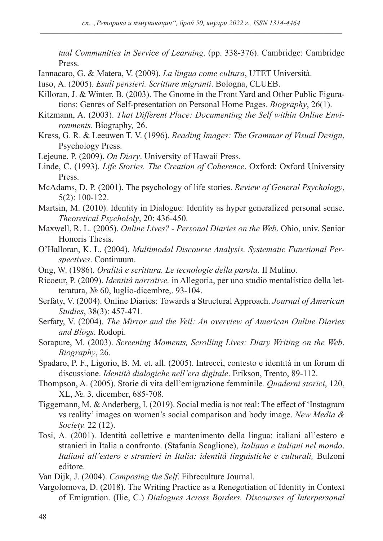*tual Communities in Service of Learning*. (pp. 338-376). Cambridge: Cambridge Press.

Iannacaro, G. & Matera, V. (2009). *La lingua come cultura*, UTET Università.

Iusо, А. (2005). *Esuli pensieri. Scritture migranti*. Bologna, CLUEB.

- Killoran, J. & Winter, B. (2003). The Gnome in the Front Yard and Other Public Figurations: Genres of Self-presentation on Personal Home Pages*. Biography*, 26(1).
- Kitzmann, A. (2003). *That Different Place: Documenting the Self within Online Environments*. Biography*,* 26.
- Kress, G. R. & Leeuwen T. V. (1996). *Reading Images: The Grammar of Visual Design*, Psychology Press.
- Lejeune, P. (2009). *On Diary*. University of Hawaii Press.
- Linde, C. (1993). *Life Stories. The Creation of Coherence*. Oxford: Oxford University Press.
- McAdams, D. P. (2001). The psychology of life stories. *Review of General Psychology*, 5(2): 100-122.
- Martsin, M. (2010). Identity in Dialogue: Identity as hyper generalized personal sense. *Theoretical Psychololy*, 20: 436-450.
- Маxwell, R. L. (2005). *Online Lives? Personal Diaries on the Web*. Ohio, univ. Senior Honoris Thesis.
- O'Halloran, K. L. (2004). *Multimodal Discourse Analysis. Systematic Functional Perspectives*. Continuum.
- Ong, W. (1986). *Oralità e scrittura. Le tecnologie della parola*. Il Mulino.
- Ricoeur, P. (2009). *Identità narrative.* in Allegoria, per uno studio mentalistico della letteratura, № 60, luglio-dicembre,. 93-104.
- Serfaty, V. (2004). Online Diaries: Towards a Structural Approach. *Journal of American Studies*, 38(3): 457-471.
- Serfaty, V. (2004). *The Mirror and the Veil: An overview of American Online Diaries and Blogs*. Rodopi.
- Sorapure, M. (2003). *Screening Moments, Scrolling Lives: Diary Writing on the Web*. *Biography*, 26.
- Spadaro, P. F., Ligorio, B. M. et. all. (2005). Intrecci, contesto e identità in un forum di discussione. *Identità dialogiche nell'era digitale*. Erikson, Trento, 89-112.
- Thompson, A. (2005). Storie di vita dell'emigrazione femminile*. Quaderni storici*, 120, XL, №. 3, dicember, 685-708.
- Tiggemann, M. & Anderberg, I. (2019). Social media is not real: The effect of 'Instagram vs reality' images on women's social comparison and body image. *New Media & Society.* 22 (12).
- Tosi, A. (2001). Identità collettive e mantenimento della lingua: italiani all'estero e stranieri in Italia a confronto. (Stafania Scaglione), *Italiano e italiani nel mondo*. *Italiani all'estero e stranieri in Italia: identità linguistiche e culturali,* Bulzoni editore.
- Van Dijk, J. (2004). *Composing the Self*. Fibreculture Journal.
- Vargolomova, D. (2018). The Writing Practice as a Renegotiation of Identity in Context of Emigration. (Ilie, C.) *Dialogues Across Borders. Discourses of Interpersonal*